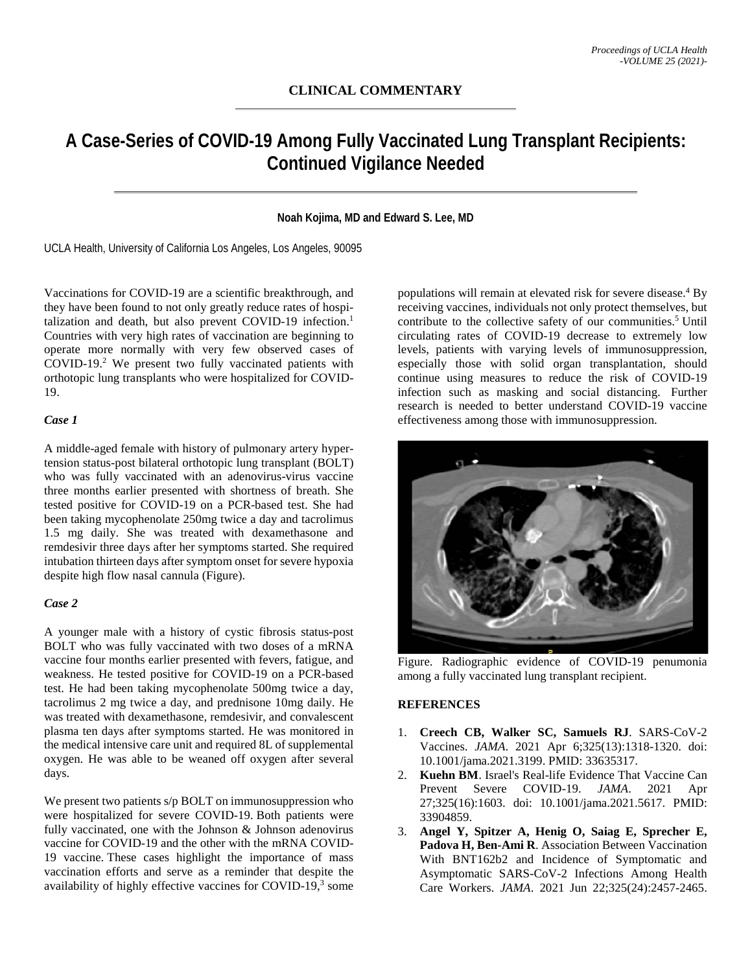# **A Case-Series of COVID-19 Among Fully Vaccinated Lung Transplant Recipients: Continued Vigilance Needed**

### **Noah Kojima, MD and Edward S. Lee, MD**

UCLA Health, University of California Los Angeles, Los Angeles, 90095

Vaccinations for COVID-19 are a scientific breakthrough, and they have been found to not only greatly reduce rates of hospitalization and death, but also prevent COVID-19 infection.<sup>1</sup> Countries with very high rates of vaccination are beginning to operate more normally with very few observed cases of COVID-19.2 We present two fully vaccinated patients with orthotopic lung transplants who were hospitalized for COVID-19.

#### *Case 1*

A middle-aged female with history of pulmonary artery hypertension status-post bilateral orthotopic lung transplant (BOLT) who was fully vaccinated with an adenovirus-virus vaccine three months earlier presented with shortness of breath. She tested positive for COVID-19 on a PCR-based test. She had been taking mycophenolate 250mg twice a day and tacrolimus 1.5 mg daily. She was treated with dexamethasone and remdesivir three days after her symptoms started. She required intubation thirteen days after symptom onset for severe hypoxia despite high flow nasal cannula (Figure).

## *Case 2*

A younger male with a history of cystic fibrosis status-post BOLT who was fully vaccinated with two doses of a mRNA vaccine four months earlier presented with fevers, fatigue, and weakness. He tested positive for COVID-19 on a PCR-based test. He had been taking mycophenolate 500mg twice a day, tacrolimus 2 mg twice a day, and prednisone 10mg daily. He was treated with dexamethasone, remdesivir, and convalescent plasma ten days after symptoms started. He was monitored in the medical intensive care unit and required 8L of supplemental oxygen. He was able to be weaned off oxygen after several days.

We present two patients s/p BOLT on immunosuppression who were hospitalized for severe COVID-19. Both patients were fully vaccinated, one with the Johnson & Johnson adenovirus vaccine for COVID-19 and the other with the mRNA COVID-19 vaccine. These cases highlight the importance of mass vaccination efforts and serve as a reminder that despite the availability of highly effective vaccines for COVID-19, $3$  some populations will remain at elevated risk for severe disease.4 By receiving vaccines, individuals not only protect themselves, but contribute to the collective safety of our communities.<sup>5</sup> Until circulating rates of COVID-19 decrease to extremely low levels, patients with varying levels of immunosuppression, especially those with solid organ transplantation, should continue using measures to reduce the risk of COVID-19 infection such as masking and social distancing. Further research is needed to better understand COVID-19 vaccine effectiveness among those with immunosuppression.



Figure. Radiographic evidence of COVID-19 penumonia among a fully vaccinated lung transplant recipient.

#### **REFERENCES**

- 1. **Creech CB, Walker SC, Samuels RJ**. SARS-CoV-2 Vaccines. *JAMA*. 2021 Apr 6;325(13):1318-1320. doi: 10.1001/jama.2021.3199. PMID: 33635317.
- 2. **Kuehn BM**. Israel's Real-life Evidence That Vaccine Can Prevent Severe COVID-19. *JAMA*. 2021 Apr 27;325(16):1603. doi: 10.1001/jama.2021.5617. PMID: 33904859.
- 3. **Angel Y, Spitzer A, Henig O, Saiag E, Sprecher E, Padova H, Ben-Ami R**. Association Between Vaccination With BNT162b2 and Incidence of Symptomatic and Asymptomatic SARS-CoV-2 Infections Among Health Care Workers. *JAMA*. 2021 Jun 22;325(24):2457-2465.